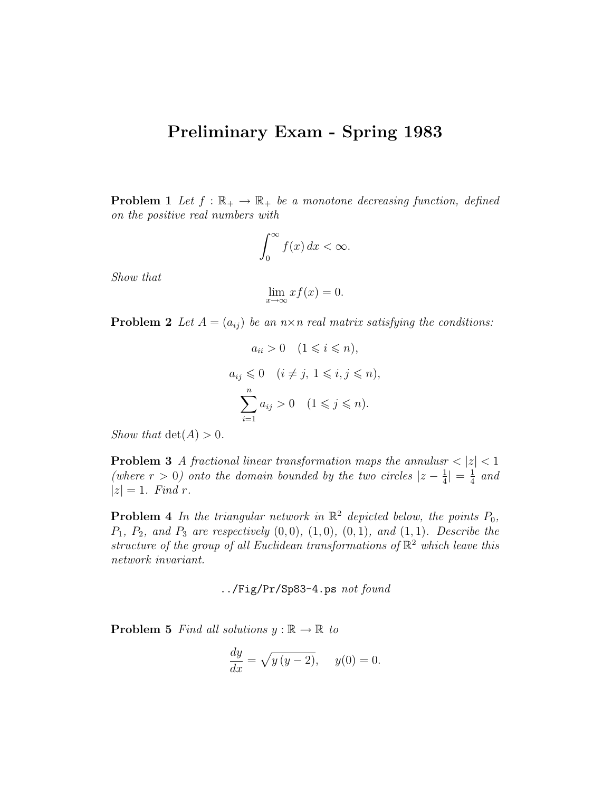## Preliminary Exam - Spring 1983

**Problem 1** Let  $f : \mathbb{R}_+ \to \mathbb{R}_+$  be a monotone decreasing function, defined on the positive real numbers with

$$
\int_0^\infty f(x) \, dx < \infty.
$$

Show that

$$
\lim_{x \to \infty} x f(x) = 0.
$$

**Problem 2** Let  $A = (a_{ij})$  be an  $n \times n$  real matrix satisfying the conditions:

$$
a_{ii} > 0 \quad (1 \leq i \leq n),
$$
  
\n
$$
a_{ij} \leq 0 \quad (i \neq j, 1 \leq i, j \leq n),
$$
  
\n
$$
\sum_{i=1}^{n} a_{ij} > 0 \quad (1 \leq j \leq n).
$$

Show that  $\det(A) > 0$ .

**Problem 3** A fractional linear transformation maps the annulusr  $|z| < 1$ (where  $r > 0$ ) onto the domain bounded by the two circles  $|z - \frac{1}{4}\rangle$  $\frac{1}{4}| = \frac{1}{4}$  $rac{1}{4}$  and  $|z| = 1$ . Find r.

**Problem 4** In the triangular network in  $\mathbb{R}^2$  depicted below, the points  $P_0$ ,  $P_1, P_2, and P_3 are respectively (0, 0), (1, 0), (0, 1), and (1, 1).$  Describe the structure of the group of all Euclidean transformations of  $\mathbb{R}^2$  which leave this network invariant.

../Fig/Pr/Sp83-4.ps not found

**Problem 5** Find all solutions  $y : \mathbb{R} \to \mathbb{R}$  to

$$
\frac{dy}{dx} = \sqrt{y(y-2)}, \quad y(0) = 0.
$$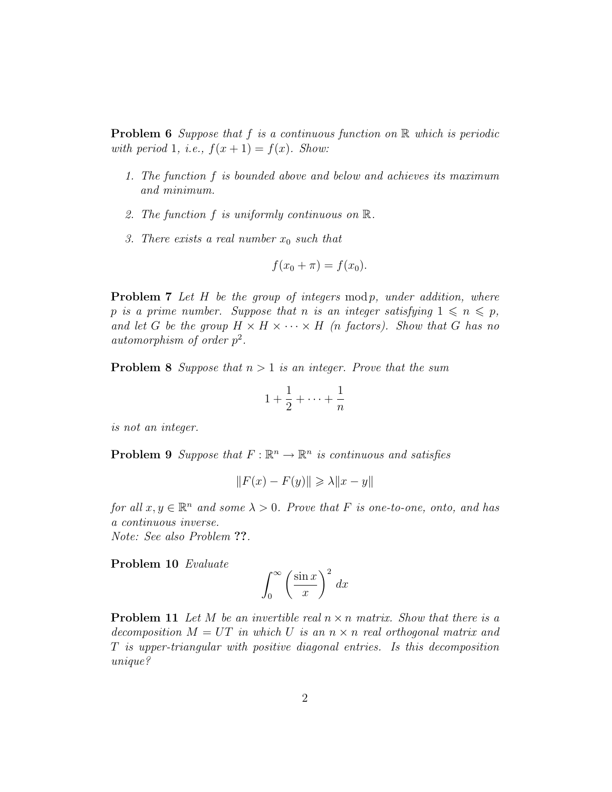**Problem 6** Suppose that f is a continuous function on  $\mathbb{R}$  which is periodic with period 1, i.e.,  $f(x+1) = f(x)$ . Show:

- 1. The function f is bounded above and below and achieves its maximum and minimum.
- 2. The function f is uniformly continuous on R.
- 3. There exists a real number  $x_0$  such that

$$
f(x_0 + \pi) = f(x_0).
$$

**Problem 7** Let  $H$  be the group of integers mod p, under addition, where p is a prime number. Suppose that n is an integer satisfying  $1 \leq n \leq p$ , and let G be the group  $H \times H \times \cdots \times H$  (n factors). Show that G has no automorphism of order  $p^2$ .

**Problem 8** Suppose that  $n > 1$  is an integer. Prove that the sum

$$
1+\frac{1}{2}+\cdots+\frac{1}{n}
$$

is not an integer.

**Problem 9** Suppose that  $F : \mathbb{R}^n \to \mathbb{R}^n$  is continuous and satisfies

$$
||F(x) - F(y)|| \ge \lambda ||x - y||
$$

for all  $x, y \in \mathbb{R}^n$  and some  $\lambda > 0$ . Prove that F is one-to-one, onto, and has a continuous inverse.

Note: See also Problem ??.

Problem 10 Evaluate

$$
\int_0^\infty \left(\frac{\sin x}{x}\right)^2 dx
$$

**Problem 11** Let M be an invertible real  $n \times n$  matrix. Show that there is a decomposition  $M = UT$  in which U is an  $n \times n$  real orthogonal matrix and T is upper-triangular with positive diagonal entries. Is this decomposition unique?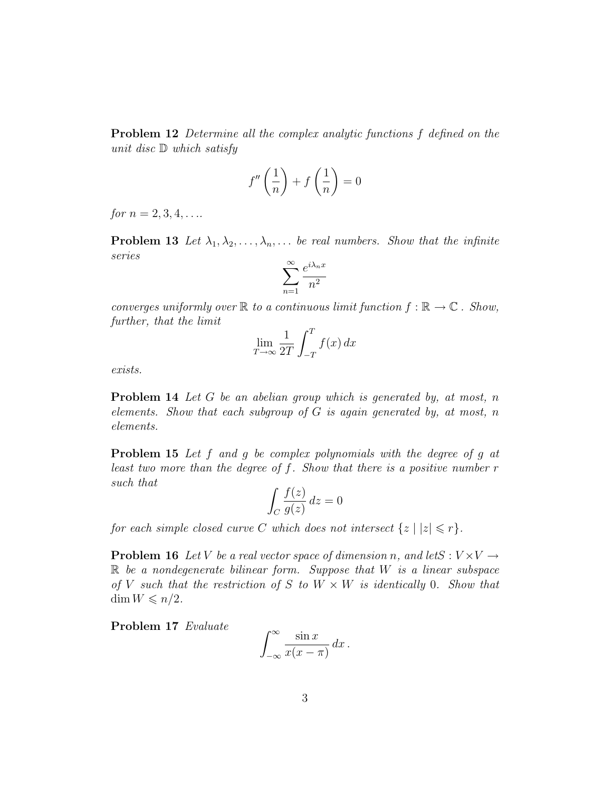Problem 12 Determine all the complex analytic functions f defined on the unit disc D which satisfy

$$
f''\left(\frac{1}{n}\right) + f\left(\frac{1}{n}\right) = 0
$$

for  $n = 2, 3, 4, \ldots$ 

**Problem 13** Let  $\lambda_1, \lambda_2, \ldots, \lambda_n, \ldots$  be real numbers. Show that the infinite series

$$
\sum_{n=1}^{\infty} \frac{e^{i\lambda_n x}}{n^2}
$$

converges uniformly over  $\mathbb R$  to a continuous limit function  $f : \mathbb R \to \mathbb C$ . Show, further, that the limit

$$
\lim_{T \to \infty} \frac{1}{2T} \int_{-T}^{T} f(x) \, dx
$$

exists.

Problem 14 Let G be an abelian group which is generated by, at most, n elements. Show that each subgroup of  $G$  is again generated by, at most, n elements.

Problem 15 Let f and g be complex polynomials with the degree of g at least two more than the degree of  $f$ . Show that there is a positive number  $r$ such that

$$
\int_C \frac{f(z)}{g(z)} \, dz = 0
$$

for each simple closed curve C which does not intersect  $\{z \mid |z| \leq r\}.$ 

**Problem 16** Let V be a real vector space of dimension n, and letS :  $V \times V \rightarrow$  $\mathbb R$  be a nondegenerate bilinear form. Suppose that  $W$  is a linear subspace of V such that the restriction of S to  $W \times W$  is identically 0. Show that  $\dim W \leqslant n/2$ .

Problem 17 Evaluate

$$
\int_{-\infty}^{\infty} \frac{\sin x}{x(x-\pi)} dx.
$$